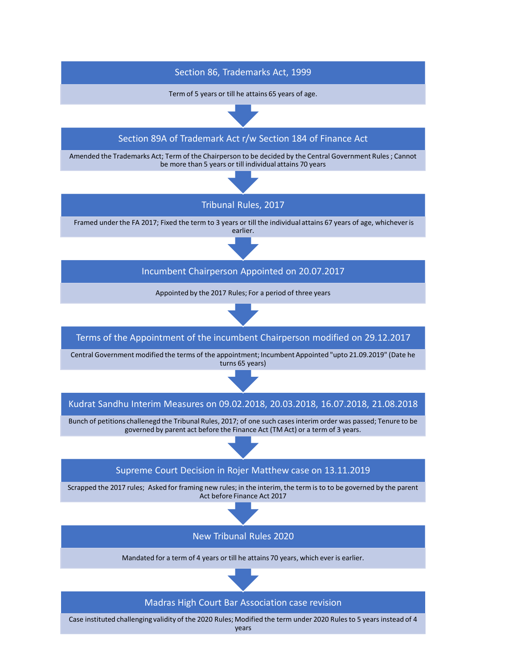